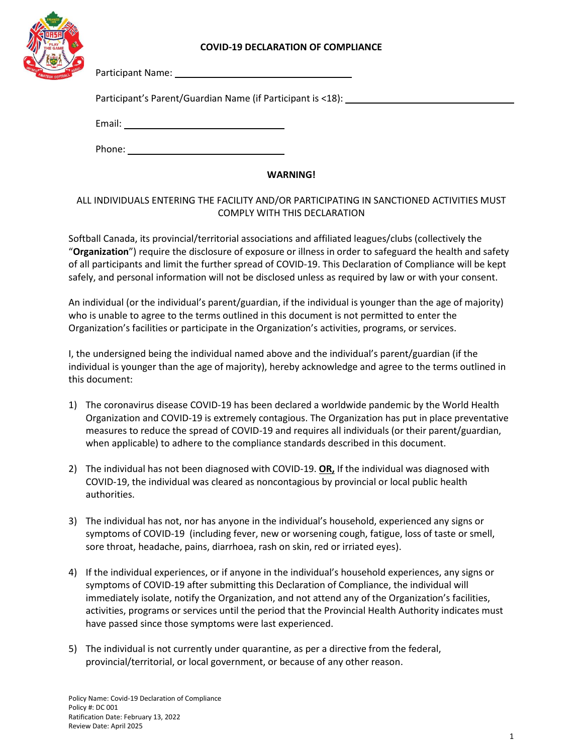## **COVID-19 DECLARATION OF COMPLIANCE**



Participant Name:

Participant's Parent/Guardian Name (if Participant is <18):

Email:

Phone:

## **WARNING!**

## ALL INDIVIDUALS ENTERING THE FACILITY AND/OR PARTICIPATING IN SANCTIONED ACTIVITIES MUST COMPLY WITH THIS DECLARATION

Softball Canada, its provincial/territorial associations and affiliated leagues/clubs (collectively the "**Organization**") require the disclosure of exposure or illness in order to safeguard the health and safety of all participants and limit the further spread of COVID-19. This Declaration of Compliance will be kept safely, and personal information will not be disclosed unless as required by law or with your consent.

An individual (or the individual's parent/guardian, if the individual is younger than the age of majority) who is unable to agree to the terms outlined in this document is not permitted to enter the Organization's facilities or participate in the Organization's activities, programs, or services.

I, the undersigned being the individual named above and the individual's parent/guardian (if the individual is younger than the age of majority), hereby acknowledge and agree to the terms outlined in this document:

- 1) The coronavirus disease COVID-19 has been declared a worldwide pandemic by the World Health Organization and COVID-19 is extremely contagious. The Organization has put in place preventative measures to reduce the spread of COVID-19 and requires all individuals (or their parent/guardian, when applicable) to adhere to the compliance standards described in this document.
- 2) The individual has not been diagnosed with COVID-19. **OR,** If the individual was diagnosed with COVID-19, the individual was cleared as noncontagious by provincial or local public health authorities.
- 3) The individual has not, nor has anyone in the individual's household, experienced any signs or symptoms of COVID-19 (including fever, new or worsening cough, fatigue, loss of taste or smell, sore throat, headache, pains, diarrhoea, rash on skin, red or irriated eyes).
- 4) If the individual experiences, or if anyone in the individual's household experiences, any signs or symptoms of COVID-19 after submitting this Declaration of Compliance, the individual will immediately isolate, notify the Organization, and not attend any of the Organization's facilities, activities, programs or services until the period that the Provincial Health Authority indicates must have passed since those symptoms were last experienced.
- 5) The individual is not currently under quarantine, as per a directive from the federal, provincial/territorial, or local government, or because of any other reason.